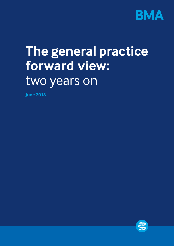

# **The general practice forward view:**  two years on

**June 2018**

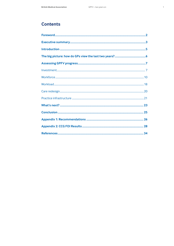# **Contents**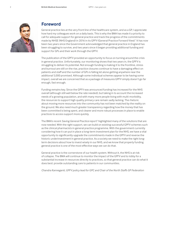

# **Foreword**

General practice lies at the very front line of the healthcare system, and as a GP, I appreciate how hard my colleagues work on a daily basis. This is why the BMA has made it a priority to call for adequate support for general practice and track the progress of the commitments made by NHSE (NHS England) in 2016 in its GPFV (General Practice Forward View).<sup>1</sup> It has now been two years since the Government acknowledged that general practice in England has been struggling to survive, and two years since it began providing additional funding and support for GPs and their work through the GPFV.

The publication of the GPFV provided an opportunity to focus on turning around the crisis in general practice. Unfortunately, our monitoring shows that two years in, the GPFV is struggling to deliver its potential. Not enough funding is making it to the frontline, stress and burnout are still on the rise, practice closures continue to have a damaging effect on patients and staff and the number of GPs is falling let alone getting anywhere near the additional 5,000 promised. Although some individual schemes appear to be having some impact, overall we are concerned that as a package of measures GPFV simply doesn't go far enough, fast enough.

Funding remains key. Since the GPFV was announced funding has increased for the NHS overall (although still well below the rate needed), but taking in to account the increased needs of a growing population, and with many more people living with multi-morbidity, the resources to support high quality primary care remain sadly lacking. The rhetoric about moving more resources into the community has not been matched by the reality on the ground. We also need much greater transparency regarding how the money that has been committed is being spent, and clearer and more robust processes in place to enable practices to access support more quickly.

The BMA's recent Saving General Practice report<sup>2</sup> highlighted many of the solutions that are now needed. With the right support, we can build on existing successful GPFV schemes such as the clinical pharmacists in general practice programme. With the government currently considering how it can put in place a long-term investment plan for the NHS, we have a vital opportunity to significantly upgrade the commitments made in the GPFV and reverse the historic underinvestment in general practice. As a society we need to make the right longterm decisions about how to invest wisely in our NHS, and we know that properly funding general practice is one of the most effective ways we can do that.

General practice is the cornerstone of our health system. Without it, the NHS is at risk of collapse. The BMA will continue to monitor the impact of the GPFV and to lobby for a substantial increase in resources directly to practices, so that general practice can do what it does best: provide outstanding care to patients in our communities.

*Chandra Kanneganti, GPFV policy lead for GPC and Chair of the North Staffs GP Federation*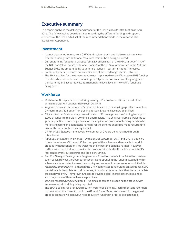# **Executive summary**

This report analyses the delivery and impact of the GPFV since its introduction in April 2016. The following has been identified regarding the different funding and support elements of the GPFV. A full list of the recommendations made in the report is also available in Appendix 1.

# **Investment**

- It is not clear whether recurrent GPFV funding is on track, and it also remains unclear whether funding from additional resources from CCGs is being delivered.
- Current funding for general practice falls £3.7 billion short of the BMA's target of 11% of the NHS budget. Although additional funding for the NHS was committed in the Autumn Budget 2017, the amount going to general practice in real terms has not increased.
- Continued practice closures are an indication of the need for greater investment.
- The BMA is calling for the Government to use its planned review of long term NHS funding to address historic underinvestment in general practice. We are also calling for greater transparency and accountability at a national and local level on how GPFV funding is being spent.

# **Workforce**

- Whilst more GPs appear to be entering training, GP recruitment still falls short of the annual recruitment target initially set in 2015/16.
- *Targeted Enhanced Recruitment Scheme* this seems to be making a positive impact on GP recruitment. 133 out of 144 training posts in England have now been filled.
- *Clinical pharmacists in primary care* to date NHSE has approved co-funding to support 3,200 practices to recruit 1,100 clinical pharmacists. This extra workforce is welcome to general practice. However, guidance on the application process for funding needs to be more transparent and consistent. Funding for the scheme should be made recurrent to ensure the initiative has a lasting impact.
- *GP Retention Scheme* a relatively low number of GPs are being retained through this scheme.
- *Induction and Refresher scheme* by the end of September 2017, 546 GPs had applied to join the scheme. Of these, 142 had completed the scheme and were able to work in practice without conditions. We welcome the impact this scheme has had. However, further work is needed to streamline the processes involved in the scheme, which GPs feel can be overly bureaucratic and time-consuming.
- *Practice Manager Development Programme* £1 million out of a total £6 million has been spent so far. However, processes for securing and spending the funding attached to this scheme are inconsistent across the country and are seen in some areas as too inflexible.
- *Mental health therapists* although the GPFV committed to recruiting an additional 3,000 mental health therapists into primary care, it has since become clear that these therapists are employed by IAPT (Improving Access to Psychological Therapies) services, and as such only some of them will work in practices.
- *Training reception and clerical staff* funding appears to be reaching the ground, with improvements in training being reported.
- The BMA is calling for a renewed focus on workforce planning, recruitment and retention to turn around the current crisis in the GP workforce. Measures to invest in the general practice team are welcome, but need recurrent funding in order to be sustainable.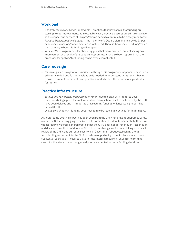# **Workload**

- *General Practice Resilience Programme* practices that have applied for funding are starting to see improvements as a result. However, practice closures are still taking place, so the impact and success of this programme needs to continue to be closely monitored.
- *Practice Transformational Support* –the majority of CCGs are planning to provide £3 per head over 2 years for general practice as instructed. There is, however, a need for greater transparency in how this funding will be spent.
- *Time for Care programme* feedback suggests that many practices are not seeing any improvement as a result of this support programme. It has also been reported that the processes for applying for funding can be overly complicated.

# **Care redesign**

– *Improving access to general practice* – although this programme appears to have been efficiently rolled out, further evaluation is needed to understand whether it is having a positive impact for patients and practices, and whether this represents good value for money.

# **Practice infrastructure**

- *Estates and Technology Transformation Fund* due to delays with Premises Cost Directions being agreed for implementation, many schemes set to be funded by the ETTF have been delayed and it is reported that securing funding for large scale projects has been difficult.
- *Online consultations* funding does not seem to be reaching practices for this initiative.

Although some positive impact has been seen from the GPFV funding and support streams, overall the GPFV is struggling to deliver on its commitments. More fundamentally, there is a widespread view across general practice that the GPFV does not go 'far enough, fast enough' and does not have the confidence of GPs. There is a strong case for undertaking a wholesale review of the GPFV, and current discussions in Government about establishing a longterm funding settlement for the NHS provide an opportunity to put in place a much more substantial package of measures that prioritises getting recurrent funding into frontline care<sup>3</sup>. It is therefore crucial that general practice is central to these funding decisions.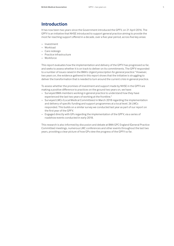# **Introduction**

It has now been two years since the Government introduced the GPFV, on 21 April 2016. The GPFV is an initiative that NHSE introduced to support general practice aiming to provide the most far reaching support offered in a decade, over a five-year period, across five key areas:

- Investment
- Workload
- Care redesign
- Practice infrastructure
- Workforce

This report evaluates how the implementation and delivery of the GPFV has progressed so far, and seeks to assess whether it is on track to deliver on its commitments. The GPFV responded to a number of issues raised in the BMA's *Urgent prescription for general practice.<sup>4</sup>* However, two years on, the evidence gathered in this report shows that the initiative is struggling to deliver the transformation that is needed to turn around the current crisis in general practice.

To assess whether the promises of investment and support made by NHSE in the GPFV are making a positive difference to practices on the ground two years on, we have:

- Surveyed BMA members working in general practice to understand how they have experienced the last two years of working at the frontline.<sup>5</sup>
- Surveyed LMCs (Local Medical Committees) in March 2018 regarding the implementation and delivery of specific funding and support programmes at a local level. 26 LMCs responded. This builds on a similar survey we conducted last year as part of our report on the first year of the GPFV.
- Engaged directly with GPs regarding the implementation of the GPFV, via a series of roadshow events conducted in early 2018.

This research is also informed by discussion and debate at BMA GPC England (General Practice Committee) meetings, numerous LMC conferences and other events throughout the last two years, providing a clear picture of how GPs view the progress of the GPFV so far.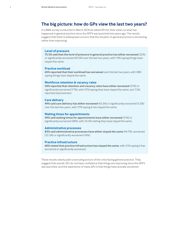# **The big picture: how do GPs view the last two years?**

In a BMA survey conducted in March 2018 we asked GPs for their views on what has happened in general practice since the GPFV was launched two years ago. The results suggest that there is widespread concern that the situation in general practice is worsening rather than improving.

#### **Level of pressure**

**75.5% said that the level of pressure in general practice has either worsened** (32%) or significantly worsened (43.5%) over the last two years, with 19% saying things have stayed the same.

#### **Practice workload**

**65% reported that their workload has worsened** over the last two years, with 28% saying things have stayed the same.

## **Workforce retention & vacancy rates**

**54% reported that retention and vacancy rates have either worsened** (37%) or significantly worsened (17%), with 37% saying they have stayed the same. Just 7.5% reported improvement.

#### **Care delivery**

**49% said care delivery has either worsened** (43.5%) or significantly worsened (5.5%) over the last two years, with 37% saying it has stayed the same.

## **Waiting times for appointments**

**59% said waiting times for appointments have either worsened** (31%) or significantly worsened (28%), with 33.3% stating they have stayed the same.

#### **Administrative processes**

**83% said administrative processes have either stayed the same** (44.7%), worsened (22.3%) or significantly worsened (16%).

#### **Practice infrastructure**

**60% stated that practice infrastructure has stayed the same**, with 21% saying it has worsened or significantly worsened.

These results clearly paint a worrying picture of the crisis facing general practice. They suggest that overall, GPs do not have confidence that things are improving since the GPFV was launched, and the experience of many GPs is that things have actually worsened.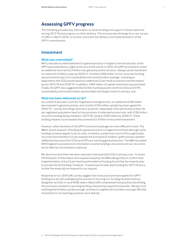# **Assessing GPFV progress**

The following provides key information on what funding and support streams were live during 2017/18 and progress on their delivery. This incorporates findings from our survey of LMCs in March 2018, to monitor and track the delivery and implementation of the GPFV commitments.

# **Investment**

## **What was committed?**

With a decade of underinvestment in general practice in England, the introduction of the GPFV was presented as a light at the end of the tunnel. In 2016, the GPFV promised to invest an additional recurrent £2.4 billion into general practice services, raising overall investment to a total of £12 billion a year by 2020/21. A further £508 million of non-recurrent funding was promised as part of a sustainability and transformation package, including an expectation that CCGs would spend an additional £3 per head on practice transformation across 2017/18 and 2018/19. In addition, £900 million of capital investment was promised. Finally, the GPFV also suggested that further funding would come from CCGs and STPs (sustainability and transformation partnerships) deciding to invest in primary care.

## **What has been delivered so far?**

As a result of last year's contract negotiation and agreement, an additional £238 million was invested in general practice, and a further £256 million update has been agreed for 2018/19 – money that will go directly to practices. Separately, CCGs will receive at least £6 per registered population head to fund provision of extended access hubs, with £138 million recurrent funding being invested in 2017/18, rising to £500 million by 2020/21. These funding streams count towards the promised £2.4 billion of recurrent investment.

However, other elements of the GPFV investment package are more difficult to track. The BMA's recent analysis<sup>6</sup> of funding for general practice in England found that although some funding increases appear to be on track, it remains unclear how much of this is genuinely recurrent (and therefore counts towards the promised £2.4 billion uplift) and also whether additional resources from CCGs and STPs are reaching general practice. The BMA has asked NHS England to provide more information on what funding is recurrent and non-recurrent, but to date has not received a response.

We also know that there has been reported underspend by CCGs in primary care.<sup>7</sup> A recent FOI (Freedom of Information Act) request issued by the BMA asking CCGs to confirm their implementation of the £3 per head transformational funding found that the majority plan to provide the full funding.<sup>a</sup> However, 13 areas had not allocated funding for 2017/18 and a further five areas did not respond to our request.

Responses to our 2018 LMC survey suggest that many practices have applied for GPFV funding but are still undergoing the process of securing it or funding has been held up altogether by CCGs or local NHSE teams. Many LMCs emphasised that practices are finding the processes involved in securing funding unecessarily long and bureacratic. Money is not reaching the frontline quickly enough, and there is significant frustration amongst GPs that investment is not reaching practices more directly.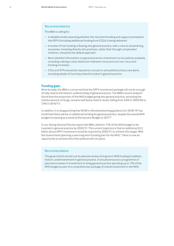## Recommendations

The BMA is calling for:

- A detailed review assessing whether the recurrent funding and support promised in the GPFV (including additional funding from CCGs) is being delivered.
- A review of how funding is flowing into general practice, with a view to streamlining processes. Investing directly into practices, rather than through complicated schemes, should be the default approach.
- More detailed information on general practice investment to be publicly available, including making a clear distinction between recurrent and non-recurrent funding increases.
- CCGs and STPs should be required to consult on and publish primary care plans, including details of how they intend to invest in general practice.

## **Funding gaps**

More broadly, the BMA is concerned that the GPFV investment package will not be enough to fully reverse the historic underfunding of general practice. The BMA's recent analysis<sup>8</sup> found that the proportion of the NHS budget going into general practice, excluding the reimbursement of drugs, remains well below historic levels, falling from 9.6% in 2005/06 to 7.9% in 2016/17.

In addition, it is disappointing that NHSE's refreshed planning guidance for 2018/19<sup>9</sup> has confirmed there will be no additional funding for general practice, despite the overall NHS budget increasing as a result of the Autumn Budget in 2017.10

In our *Saving General Practice* report the BMA called for 11% of the NHS budget to be invested in general practice by 2020/21. The current trajectory is that an additional £3.5 billion above GPFV investment would be required by 2020/21 to achieve this target. With the Government planning a new long-term funding plan for the NHS,<sup>11</sup> there is now an opportunity to achieve this if the political will is in place.

#### Recommendation

The government should use its planned review of long-term NHS funding to address historic underinvestment in general practice. It should announce a programme of planned increases in investment to bring general practice spending up to 11% of the NHS budget as part of a comprehensive package of overall investment in the NHS.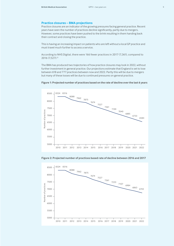## **Practice closures – BMA projections**

Practice closures are an indicator of the growing pressures facing general practice. Recent years have seen the number of practices decline significantly, partly due to mergers. However, some practices have been pushed to the brink resulting in them handing back their contract and closing the practice.

This is having an increasing impact on patients who are left without a local GP practice and must travel much further to access a service.

According to NHS Digital, there were 166 fewer practices in 2017 (7,361), compared to 2016 (7,527).12

The BMA has produced two trajectories of how practice closures may look in 2022, without further investment in general practice. Our projections estimate that England is set to lose between 618 and 777 practices between now and 2022. Partly this will be due to mergers but many of these losses will be due to continued pressures on general practice.



**Figure 1: Projected number of practices based on the rate of decline over the last 6 years**

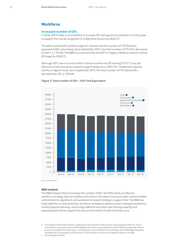# **Workforce**

## **Increased number of GPs**

In 2016, GPFV made a commitment to increase GP training and recruitment to 3,250 a year, to support the overall net growth of 5,000 extra doctors by 2020/21.

The latest national GP workforce figures<sup>b</sup> indicate that the number of FTE (full-time equivalent) GPs is declining. Since September 2016, the total number of FTE GPs<sup>c</sup> decreased by 505,<sup>13</sup> a 1.7% fall. The BMA is concerned that the GPFV is highly unlikely to meet its overall GP target by 2020/21.

Although 2017 saw a record number of doctors enter into GP training (3,15714), this still falls short of the annual recruitment target initially set in 2015/16.<sup>15</sup> Indeed the national workforce figures show, since September 2016, the total number of FTE trainee GPs decreased by 416, a 7.9% fall.



#### **Figure 3: Total number of GPs – Full Time Equivalent**

Source: NHS Digital<sup>16</sup>

#### *BMA analysis*

The BMA believes that to increase the number of GPs, the NHS needs an effective workforce strategy that will stabilise and build on the talent it has and make a demonstrable commitment to significant and sustained increased funding to support this. The BMA has long called for a comprehensive, workforce strategy to address issues relating to workforce monitoring and planning, resourcing sufficient education and training capacity and expanding skill-mix to support the doctor-led medical model of primary care.

b It should be noted that practices update their own workforce data onto an online primary web tool. This is extracted on a quarterly basis by NHS Digital, but it does not necessarily include 100% accurate data. Not all practices complete the data return correctly and around 5.8% are not updating it at all. NHS Digital provides estimates for missing data, so fluctuations in GP workforce numbers are always subject to change.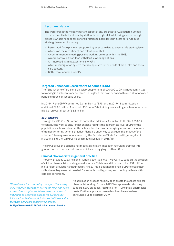## Recommendation

The workforce is the most important aspect of any organisation. Adequate numbers of trained, motivated and healthy staff, with the right skills delivering care in the right places is what is needed for general practice to keep delivering safe care. A robust strategy is needed, including:

- Better workforce planning supported by adequate data to ensure safe staffing levels
- A focus on the recruitment and retention of staff.
- A commitment to creating positive working cultures within the NHS.
- A more controlled workload with flexible working options.
- An improved training experience for GPs.
- A future immigration system that is responsive to the needs of the health and social care sectors.
- Better remuneration for GPs.

## **Targeted Enhanced Recruitment Scheme (TERS)**

The TERs scheme offers a one-off salary supplement of £20,000 to GP trainees committed to working in a select number of places in England that have been hard to recruit to for over a period of three consecutive years.

In 2016/17, the GPFV committed £2.1 million to TERS, and in 2017/18 committed an additional £2.88 million. As a result, 133 out of 144 training posts in England have now been filled, at an overall cost of £2.6 million.

#### *BMA analysis*

Through the GPFV, NHSE intends to commit an additional £5 million to TERS in 2018/19, to continue its work to ensure that England recruits the appropriate level of GPs for the population levels in each area. The scheme has had an encouraging impact on the number of trainees entering general practice. Plans are underway to evaluate the impact of the scheme, following an announcement by the Secretary of State for Health, Jeremy Hunt, indicating a further 250 posts being made available in 2018/19.

The BMA believe this scheme has made a significant impact on recruiting trainees into general practice and also into areas which are struggling to attract GPs.

#### **Clinical pharmacists in general practice**

The GPFV provides £22.4 million of funding each year over five years, to support the creation of clinical pharmacist posts in general practice. This is in addition to an initial £31 million pilot project previously announced by NHSE. This is designed to enable GPs to focus their skills where they are most needed, for example on diagnosing and treating patients with complex conditions.

*'The evidence for both saving money and improving quality is good. Working as part of the team and being a prescriber, our pharmacist has saved us time and not added to it. Working outside the practice this initiative is unlikely to work but as part of the practice team has significant benefits if embraced.' Dr Nigel Watson MBBS FRCGP, GP Arnewood Practice*

An application process has now been created to access clinical pharmacist funding. To date, NHSE has approved co-funding to support 3,200 practices, recruiting for 1,100 clinical pharmacist posts. Further application wave deadlines have also been announced up to February 2019.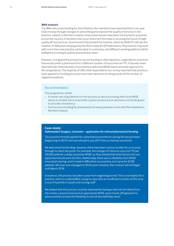#### *BMA analysis*

The BMA welcomes funding for this initiative. Our members have reported that it can save CCGs money through changes to prescribing and improve the quality of services in the practice. Indeed, in Northern Ireland, where pharmacists have been introduced to practices across the country, it has been seen as an important first step in securing the future of highquality GP-led services. Government fully funded the scheme, which by 2020/21 will see the creation of 300 posts employed by Northern Ireland's GP Federations. Pharmacists may work with more than one practice, particularly in rural areas, and different working patterns will be available according to patient and business need.

However, in England the process to secure funding is often laborious, especially for practices that would prefer a pharmacist for a different number of hours than an FTE. It has also been reported that there has been inconsistency with local NHSE teams and their approach to the set guidance. The majority of LMCs that responded to our survey reported that practices have applied for funding but some have been declined on the grounds of the number of registered patients.

## Recommendation

This programme needs:

- A clearer set of guidelines for the process to secure funding with local NHSE teams to enable them to provide a quick turnaround on decisions on funding and to provide consistency
- Full recurrent funding for pharmacists for every practice in line with the initiatives in Northern Ireland

#### **Case study:**

#### *Oakmeadow Surgery, Leicester – application for clinical pharmacist funding*

*'Our practice formally applied for a pharmacist practitioner during the second wave (beginning of 2017), and was advised in July 2017 that our bid was successful.* 

*We welcomed this funding, however, there have been various hurdles for us to jump through to reach this point. For example, the change of criteria to only one FTE per 30,000 patients, a delay caused by NHSE, as they insisted that pharmacists who are appointed should work full time. Additionally, there was no flexibility from NHSE around job sharing, which made it difficult for our practice, as it cares for 8,950 patients. We have now managed to fill the post; however, the contract will not begin until March 2018.* 

*In essence, the process has taken a year from beginning to end. This is not helpful for a practice, which is understaffed, trying to cope with an insufficient number of GPs (only 2 out of 4 partners in post) and nursing staff.*

*We believe that this process could be improved by having a clear set of criteria from the outset, a quick turnaround on approval by NHSE, and a hands-off approach to allow practices to have the flexibility to recruit the staff they need.'*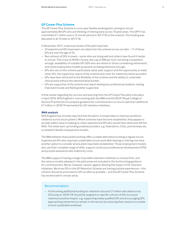## **GP Career Plus Scheme**

The GP Career Plus Scheme is a one-year flexible working pilot, aiming to recruit approximately 80 GPs who are thinking of retiring early across 10 pilot areas. The GPFV has committed £1 million over a 12-month period in 2017/18 to the scheme. The funding was allocated to all 10 sites in 2017/18.

In November 2017, a biannual review of the pilot reported:

- 24 experienced GPs have been recruited onto the scheme across six sites 17 of these GPs are over the age of 55.
- Recruitment of GPs is mixed some sites are doing well and others have found it harder to recruit. This is due to NHSE's hourly rate cap of £80 per hour not being competitive enough, availability of suitable GPs (GPs who are retired or those considering retirement), and initial employment models proposed not being attractive enough.
- GPs who are on the scheme particularly value: peer support and the opportunity to meet other GPs, the supportive nature of the scheme and cover for indemnity where provided.
- GPs have been attracted to the flexibility of the scheme and the ability to undertake clinical work without the administrative burden.
- GPs are supportive of the scheme and report feeling less professional isolation, having improved morale and feeling better supported.

A final review regarding the success and learning from the GP Career Plus pilot took place in April 2018. NHS England is now working with the BMA and the RCGP (Royal College of General Practitioners) to prepare guidance for commissioners on how to spend an additional £7 million in 2018/19 earmarked for GP retention initiatives.

#### *BMA analysis*

NHS England has recently reported that the pilot's concept helps to improve workforce resilience across local systems. Where schemes have become established, they appear to provide added value in helping to retain experienced GPs who would have otherwise left the NHS. The initial start-up funding enabled providers, e.g. federations, CCGs, partnerships etc, to establish flexible employment models.

The BMA believes that pooled working offers a viable alternative to being a regular locum. Experienced GPs who may have undertaken locum work after leaving or retiring now have another option to consider where pilots have been established. These employment models also use their complete range of skills, support continuous professional development (CPD) and provide assistance with indemnity costs.

The BMA supports having a range of possible retention initiatives to choose from, and the various models adopted in the pilot areas are included in the forthcoming guidance for commissioners. We do, however, caution against diluting the impact of GP retention initiatives. We know GPs in the GP Retention Scheme are having positive experiences – this scheme should be promoted to GPs as often as possible – and the GP Career Plus Scheme has worked well in certain areas.

## Recommendation

– Forthcoming additional funding for retention (around £7 million allocated across CCG areas in 2018/19) should be targeted on specific cohorts of GPs to ensure maximum positive impact, e.g. supporting newly qualified GPs and encouraging GPs approaching retirement to remain in the service by reducing their sessions to enable a more sustainable workload.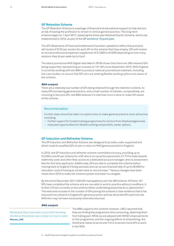#### **GP Retention Scheme**

The GP Retention Scheme is a package of financial and educational support to help doctors at risk of leaving the profession to remain in clinical general practice. This long-term scheme began on 1 April 2017, replacing the three year Retained Doctor Scheme, which was implemented in 2016, as part of the [GP workforce 10 point plan.](https://www.england.nhs.uk/wp-content/uploads/2018/01/general-practice-nursing-ten-point-plan-v17.pdf)

The SFE (Statement of Financial Entitlements) has been updated to reflect that practices will receive £76.92 per session for each GP on the scheme that they employ. GPs will receive an annual professional expenses supplement of £1,000 to £4,000 depending on how many sessions they do per week (up to four).

The latest provisional NHS Digital data (March 2018) shows that there are 286 retained GPs being supported, representing an increase of 131 GPs since September 2015. NHS England is currently working with the BMA to produce national promotional materials, including live case studies, to ensure that GPs who are seeking flexible working options are aware of the scheme.

#### *BMA analysis*

There are a relatively low number of GPs being retained through the retention scheme. As many GPs are leaving general practice, and a small number of trainees, comparatively, are choosing to become GPs, the BMA believes it is vital that more is done to make GPs aware of the scheme.

#### Recommendation

Further steps should be taken to explore how to make general practice more attractive, including:

- Further support for funded training programmes for doctors from disadvantaged areas.
- Improved opportunities for flexible working and portfolio career options.

## **GP Induction and Refresher Scheme**

The GP Induction and Refresher Scheme was designed to provide a safe, supported and direct route for qualified GPs to join or return to NHS general practice in England.

In 2016, the GP induction and refresher scheme committed a bursary, providing up to £3,500 a month per scheme for a GP who is on a practice placement; £1,714 to help towards indemnity costs and other fees; access to a dedicated account manager; and no assessment fees for first time applicants. Additionally, GPs are able to complete the scheme before moving back to England if living overseas and can access financial help of up to £8,000 for relocation costs if moving to certain hard-to-recruit areas.17 Various changes have been made since 2016 to make the scheme quicker and easier to navigate.

By the end of December 2017, 600 GPs had applied to join the I&R Scheme. Of these 167 GPs have completed the scheme and are now able to work in practice without conditions. A further 219 are currently on the scheme either undertaking assessments or placements.<sup>d</sup> This welcome increase in the number of GPs joining the scheme is clear evidence that it has improved recruitment in England for general practice and has attracted GPs back into the NHS who may not have necessarily otherwise returned.

#### *BMA analysis*

*We believe there have been issues with receiving the fee as the process was unclear on how to claim. Wessex, LMC* 

The BMA supports this scheme; however, LMCs reported that they are finding the programme time consuming, deterring them from taking part. While we are pleased with NHSE's improvements to this programme, and the ongoing efforts at streamlining, the timeframe needs to be shorter if it is to attract more GPs to work in the NHS.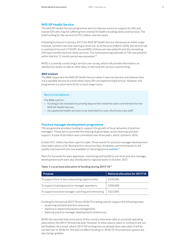## **NHS GP Health Service**

The NHS GP Health Service programme aims to improve access to support for GPs and trainee GPs who may be suffering from mental ill-health including stress and burnout. The total funding for the service is £19.5 million over five years.

Following its launch in January 2017, the NHS GP Health Service witnessed an initial surge; however, numbers are now starting to level out. As at the end of March 2018, the service has a caseload of around 1,110 GPs. Around 850 of these are new patients and the remaining 259 have transferred from other services. The commissioning estimate of 750 new patients within the first 12 month period was exceeded.<sup>18</sup>

NHSE is currently conducting a service user survey, which will provide information on satisfaction levels, as well as other data, to test how the service is performing.

#### *BMA analysis*

The BMA supported the NHS GP Health Service when it was introduced, and believes that it is a valuable service at a time when many GPs are experiencing burnout. However, this programme is a short-term fix for a much larger issue.

# Recommendations

The BMA calls for:

- Funding to be invested recurrently beyond the initial five-year commitment for the NHS GP Health Service.
- Occupational health services to be extended to cover all primary care staff.

#### **Practice manager development programme**

This programme provides funding to support the growth of local networks of practice managers. These aim to promote the sharing of good ideas, action learning and peer support. A total of £6 million was committed over three years, which started in 2016.

A total of £1 million has been spent to date. Three events for practice manager development have taken place so far. Best practice resources (tips, templates, and techniques) to aid quality improvement are now available on the programme [website](https://practiceindex.co.uk/gp/).<sup>19</sup>

Plans for bursaries for peer appraisals, mentoring and backfill to join local practice manager development work were also distributed to regional teams in October 2017.

| <b>Purpose</b>                                     | National allocation for 2017/18 |
|----------------------------------------------------|---------------------------------|
| To support face to face networking opportunities   | £239,500                        |
| To support training practice manager appraisers    | £200,000                        |
| To support practice manager coaching and mentoring | £523,000                        |

#### **Table 1: Local level allocation of funding during 2017/18**<sup>20</sup>

Funding for the period 2017/18 and 2018/19 is being used to support the following areas:

- eLearning and best practice resources
- Diploma in advanced practice management
- National practice manager development conferences

NHSE has reported that some parts of the country have been able to conclude spending plans within the 2017/18 financial year. However, in other places, plans or contracts are not yet finalised. As a result, where 2017/18 funding has not already been allocated, it will be carried over to 2018/19. This will not affect funding for 2018/19. Procurement options are also being updated.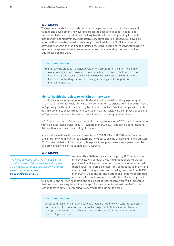#### *BMA analysis*

We welcome the ability to provide practice managers with the opportunity to expand training and development, however the process to access this support needs to be simplified. LMCs have reported that the length of time for securing funding for practice manager development varies, and is often a very bureaucratic process. LMCs have also reported that there has been inconsistency in how flexible local NHSE teams are with providing proposals and funding to practices, resulting in some not receiving funding. We welcome the approach that some areas have taken where funding has been provided to LMCs to lead on this work.

#### Recommendation

To improve the practice manager development programme, the BMA is calling for:

- A review of guidelines provided to local area teams to ensure that practices are consistently being given the flexibility to decide how best to use this funding.
- Full recurrent funding for practice manager training and to support practice manager networks.

#### **Mental health therapists to work in primary care**

The GPFV includes a commitment of 3,000 additional therapists working in primary care. This links to the Mental Health Forward View commitment to expand IAPT (Improving Access to Psychological Therapies) services by two thirds, to enable 1.5 million people with mental health problems to access treatment each year. New therapists will be employed by existing IAPT providers to support the desired move towards more integrated services.

In 2016/17 there were 539 new mental health therapy trainees and 2,175 patients were seen within an integrated service. In 2017/18, more than 600 new trainees were confirmed and 9,405 patients were seen in an integrated service.<sup>21</sup>

A national evaluation will be available in autumn 2018. NHSE and HEE (Health Education England) are working together to determine how best to use the available funding from April 2018 to ensure that sufficient capacity is in place to support the training expansion whilst also providing some contribution to salary support.

#### *BMA analysis*

*'Practices do have access to IAPT but it is not practice based and there are long waiting lists… (it) is not part or funded through GPFV as these are existing arrangements.' Derby and Derbyshire LMC*

As mental health therapists are employed by IAPT services, not by practices, only some of these new practitioners will work in practices. Practices are concerned that access to a mental health therapist will therefore be limited. Providing access to an on-hand mental health therapist was one of the key promises from NHSE in the GPFV. Mixed anxiety and depression are the most common mental health problems experienced in the UK, affecting one in

four people, and carry an economic and social cost of £105 billion a year.<sup>22</sup> It is imperative that practices have easy access to a therapist for their patients, yet just over half of the respondents to our 2018 LMC survey reported that this is not the case.

## Recommendation

LMCs, commissioners and IAPT service providers need to work together to design and implement co-location contractual arrangements that see mental health therapists deployed across GP practices and the costs for this included within Licence Agreements.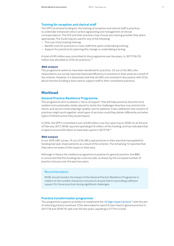# **Training for reception and clerical staff**

The GPFV promised funding for the training of reception and clerical staff in practices to undertake enhanced roles in active signposting and management of clinical correspondence. The CCG and their practices may choose any training provider they deem appropriate. The funds may be used for any of the following:

- The cost of purchasing training;
- Backfill costs for practices to cover staff time spent undertaking training;
- Support for practices for planning this change or undertaking training.

A total of £45 million was committed to the programme over five years. In 2017/18 £10 million was allocated to CCGs for practices.23

## *BMA analysis*

This programme seems to have been beneficial for practices. 23 out of 26 LMCs who responded to our survey reported improved efficiency in practices in their areas as a result of the scheme. However, it is absolutely vital that all LMCs are involved in discussions with CCGs about how this funding is best used to support staff in their constituent practices.

# **Workload**

## **General Practice Resilience Programme**

This programme aims to deliver a 'menu of support' that will help practices become more resilient and sustainable, better placed to tackle the challenges they face now and into the future, and secure continuing high-quality care for patients. It also addresses how clusters of practices might work together, what types of services could they deliver differently and what types of infrastructure they would require.

In 2016, the GPFV committed a sum of £40 million over four years (up to 2020). As at the end of February 2017, NHSE reported spending £16 million of this funding, and has indicated that it expects around £8 million to have been spent in 2017/18.24

## *BMA analysis*

In our 2018 LMC survey, 14 out of 26 LMCs said practices in their area that had applied for funding had seen improvements as a result of the scheme. The remaining 12 reported that they were not aware of the impact in their area.

Although in theory the resilience programme is positive for general practice, the BMA is concerned that this funding has come too late, as shown by the increased number of practice closures over the past two years.

## Recommendation

NHSE should monitor the impact of the General Practice Resilience Programme in relation to the number of practice closures to ensure that it is providing sufficient support for those practices facing significant challenges.

# **Practice transformation programme**

This programme supports providers to implement the 10 High Impact Actions<sup>25</sup> with the aim of reducing practice workload. CCGs were asked to spend £3 per head in general practice in 2017/18 and 2018/19, split over the two years, equating to £171m in total.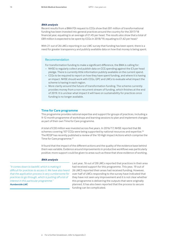#### *BMA analysis*

Recent results from a BMA FOI request to CCGs show that £81 million of transformational funding has been invested into general practices around the country for the 2017/18 financial year, equating to an average of £1.45 per head. The results also show that a total of £89 million is expected to be spent by CCGs in 2018/19, equating to £1.62 per head.<sup>e</sup>

With 21 out of 26 LMCs reporting in our LMC survey that funding has been spent, there is a need for greater transparency and publicly available data on how that money is being spent.

#### Recommendation

For transformation funding to make a significant difference, the BMA is calling for:

- NHSE to regularly collect and publish data on CCG spending against the £3 per head pledge. There is currently little information publicly available on the current spend.
- CCGs to be required to report on how they have spent funding, and where it is having an impact. NHSE should work with CCGs, GPC and LMCs to evaluate what impact the scheme is having in each region.
- More clarity around the future of transformation funding. The scheme currently provides money from a non-recurrent stream of funding, which finishes at the end of 2019. It is unclear what impact it will have on sustainability for practices once funding is no longer available.

## **Time for Care programme**

This programme provides national expertise and support for groups of practices, including a 9-12 month programme of workshops and learning sessions to plan and implement changes as part of their own Time for Care programme.

A total of £30 million was invested across five years. In 2016/17, NHSE reported that 86 schemes covering 107 CCGs were being supported by national resources and expertise.<sup>26</sup> The RCGP has recently published a review of the 10 High Impact Actions which comprise the Time for Care programme.<sup>27</sup>

It found that the impact of the different actions and the quality of the evidence base behind them was variable. Evidence around improvements in productive workflows was particularly positive; more support could be given to areas such as these that show evidence of working.

#### *BMA analysis*

*"It comes down to backfill, which is making it difficult for practices to access it. We have also heard that the application process is very cumbersome for practices to go through, which is putting off a lot of interest in this particular programme." Humberside LMC*

Last year, 16 out of 28 LMCs reported that practices in their area had received support for this programme. This year, 19 out of 26 LMCS reported their areas had received funding. However, over half of LMCs responding to the survey have indicated that they have not seen any improvement and it is not clear whether this programme is delivering the outputs that were originally planned. It has also been reported that the process to secure funding can be complicated.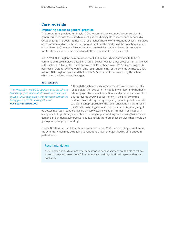# **Care redesign**

## **Improving access to general practice**

This programme provides funding for CCGs to commission extended access services in general practice, with the stated aim of all patients being able to access such services by October 2018. This does not mean that all practices have to offer extended access – services are commissioned on the basis that appointments will be made available to patients (often via a hub service) between 6:30pm and 8pm on weekdays, with provision of services at weekends based on an assessment of whether there is sufficient local need.

In 2017/18, NHS England has confirmed that £138 million is being provided to CCGs to commission these services, based on a rate of £6 per head for those areas currently involved in the scheme. All other CCGs will start with £3.34 per head in April 2018, increasing to £6 per head in October 2018 (by which time recurrent funding for the scheme will rise to £500 million). NHS England has stated that to date 50% of patients are covered by the scheme, which is on track to achieve its target.

#### *BMA analysis*

*'There is variation in the CCG approaches to this scheme based largely on their attitude to risk, own financial situation and interpretation of the procurement advice being given by NHSE and legal teams.' Hull & East Yorkshire LMC*

Although the scheme certainly appears to have been efficiently rolled out, further evaluation is needed to understand whether it is having a positive impact for patients and practices, and whether this represents good value for money. In the BMA's view the evidence is not strong enough to justify spending what amounts to a significant proportion of the recurrent spending promised in the GPFV in providing extended access, when this money might

be better invested in supporting core GP services. Many patients remain frustrated with being unable to get timely appointments during regular working hours, owing to increased demand and unmanageable GP workloads, and it is therefore these services that should be given priority for proper funding.

Finally, GPs have fed back that there is variation in how CCGs are choosing to implement the scheme, which may be leading to variations that are not justified by differences in patient need.

## Recommendation

NHS England should explore whether extended access services could help to relieve some of the pressure on core GP services by providing additional capacity they can book into.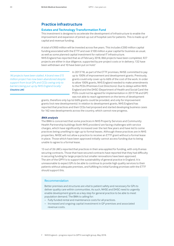# **Practice infrastructure**

#### **Estates and Technology Transformation Fund**

This investment is designed to accelerate the development of infrastructure to enable the improvement and expansion of joined-up out of hospital care for patients. This is made up of capital and revenue funding.

A total of £900 million will be invested across five years. This includes £300 million capital funding associated with the ETTF and over £100 million a year capital for business as usual, as well as some planned capital investment for national IT infrastructure.

NHS England has reported that as of February 2018, 866 projects have been completed, 927 projects are either in due diligence, supported by pre-project costs or in delivery; 132 have been withdrawn and 10 have been put on hold.<sup>f</sup>

*'All projects have been stalled. A brand new £15 million project has now been abandoned despite support from local GPs and CCGs owing only to barriers being put up by NHS England locally.' Cheshire LMC*

In 2017/18, as part of the ETTF promises, NHSE committed to pay up to 100% of improvement and development grants. Previously, grants could only cover up to 66% of the cost of the work. In order to allow 100% grants, NHS England needed to make amendments to the PCDs (Premises Cost Directions). Due to delays within NHS England and the DHSC (Department of Health and Social Care) the PCDs could not be agreed for implementation in 2017/18 and GPC was not able to reach agreement on the terms of development

grants, therefore only (up to) 66% grants could be provided, and only for improvement grants (not new developments). In relation to development grants, NHS England has reported that practices and their CCGs had proposed and started developing business cases for 162 new developments across the country, which cannot now progress.

#### *BMA analysis*

The BMA is concerned that some practices in NHS Property Services and Community Health Partnership buildings (both NHS providers) are facing challenges with service charges, which have significantly increased over the last few years and have led to some practices being unwilling to sign up to formal leases. Although these practices are in NHS properties, NHSE will not allow a practice to receive an ETTF grant without a formal lease in place. Those which have been approved initially cannot access funding due to being unable to agree to a formal lease.

13 out of 26 LMCs reported that practices in their area applied for funding, with only 8 areas securing contracts. Those that have secured contracts have reported that they had difficulty in securing funding for large projects but smaller renovations have been approved. The aim of the GPFV is to support the sustainability of general practice in England. It is unreasonable to expect GPs to be able to continue to provide high quality services to their patients without adequate premises, and fulfilling its initial funding promises with the ETTF should support this.

## Recommendation

Better premises and structures are vital to patient safety and necessary for GPs to deliver quality care within communities. As such, NHSE and DHSC need to urgently enable development grants as a key step for general practice to be able to meet population demand. The BMA is calling for:

- Fully funded rental and maintenance costs for all practices.
- Increased and ongoing capital investment in GP premises and associated revenue costs.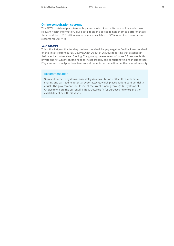#### **Online consultation systems**

The GPFV contained plans to enable patients to book consultations online and access relevant health information, plus digital tools and advice to help them to better manage their conditions. £15 million was to be made available to CCGs for online consultation systems for 2017/18.

#### *BMA analysis*

This is the first year that funding has been received. Largely negative feedback was received on this initiative from our LMC survey, with 20 out of 26 LMCs reporting that practices in their area had not received funding. The growing development of online GP services, both private and NHS, highlight the need to invest properly and consistently in enhancements to IT systems across all practices, to ensure all patients can benefit rather than a small minority.

## Recommendation

Slow and outdated systems cause delays in consultations, difficulties with datasharing and can lead to potential cyber-attacks, which places patient confidentiality at risk. The government should invest recurrent funding through GP Systems of Choice to ensure the current IT infrastructure is fit for purpose and to expand the availability of new IT initiatives.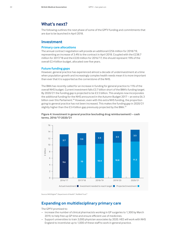# **What's next?**

The following outlines the next phase of some of the GPFV funding and commitments that are due to be launched in April 2018.

# **Investment**

#### **Primary care allocations**

The annual contract negotiation will provide an additional £256 million for 2018/19, representing an increase of 3.4% to the contract in April 2018. Coupled with the £238.7 million for 2017/18 and the £220 million for 2016/17, this should represent 19% of the overall £2.4 billion budget, allocated over five years.

## **Future funding gaps**

However, general practice has experienced almost a decade of underinvestment at a time when population growth and increasingly complex health needs mean it is more important than ever that it is supported as the cornerstone of the NHS.

The BMA has recently called for an increase in funding for general practice to 11% of the overall NHS budget. Current investment falls £3.7 billion short of the BMA's funding target. By 2020/21 the funding gap is projected to be £3.5 billion. This analysis now incorporates the additional funding for the NHS announced in the Autumn Budget 2017 – an extra £6.3 billion over this Parliament.<sup>28</sup> However, even with this extra NHS funding, the proportion going to general practice has not been increased. This makes the funding gap in 2020/21 slightly higher than the £3.4 billion gap previously projected by the BMA.<sup>29</sup>





Source: NHS Digital<sup>30</sup>; Department of Health<sup>31</sup>; Nuffield Trust<sup>32</sup>

# **Expanding on multidisciplinary primary care**

The GPFV promised to:

- increase the number of clinical pharmacists working in GP surgeries to 1,300 by March 2019, to help free up GP time and ensure efficient use of medicines.
- Support universities to train 3,000 physician associates by 2020. HEE will work with NHS England to incentivise up to 1,000 of these staff to work in general practice.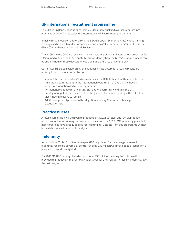# **GP international recruitment programme**

The NHS in England is recruiting at least 2,000 suitably qualified overseas doctors into GP practices by 2020. This is called the International GP Recruitment programme.

Initially this will focus on doctors from the EEA (European Economic Area) whose training is recognised in the UK under European law and who get automatic recognition to join the GMC's (General Medical Council) GP Register.

The RCGP and the GMC are reviewing the curriculum, training and assessment processes for GPs trained outside the EEA. Hopefully this will identify how the GP registration process can be streamlined for those doctors whose training is similar to that of the UK's.

Currently, NHSE is still establishing the national infrastructure for this, and results are unlikely to be seen for another two years.

To support the recruitment of GPs from overseas, the BMA believe that there needs to be:

- An ongoing commitment to the international recruitment of GPs that includes a structured induction and mentoring scheme.
- Permanent residence for all existing EEA doctors currently working in the UK.
- Employment policy that ensures all existing non-EEA doctors working in the UK will be given indefinite leave to remain.
- Addition of general practice to the Migration Advisory Committee Shortage Occupation list.

# **Practice nurses**

A total of £15 million will be given to practices until 2021 to retain and recruit practice nurses, as well as for training purposes. Feedback from the 2018 LMC survey suggests that many practices have already applied for this funding. Outputs from this programme will not be available for evaluation until next year.

# **Indemnity**

As part of the 2017/18 contract changes, GPC negotiated for the average increase in indemnity fees to be covered by central funding. £30 million was provided to practices on a per-patient basis (unweighted).

For 2018/19 GPC has negotiated an additional £30 million, meaning £60 million will be provided to practices in the same way as last year, for the average increase in indemnity over the last two years.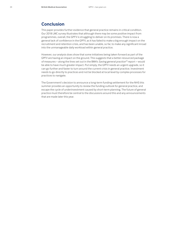# **Conclusion**

This paper provides further evidence that general practice remains in critical condition. Our 2018 LMC survey illustrates that although there may be some positive impact from programmes, overall, the GPFV is struggling to deliver on its promises. There is now a general lack of confidence in the GPFV, as it has failed to make a big enough impact on the recruitment and retention crisis, and has been unable, so far, to make any significant inroad into the unmanageable daily workload within general practice.

However, our analysis does show that some initiatives being taken forward as part of the GPFV are having an impact on the ground. This suggests that a better-resourced package of measures – along the lines set out in the BMA's *Saving general practice33* report – would be able to have much greater impact. Put simply, the GPFV needs an urgent upgrade, so it can go further and faster to turn around the current crisis in general practice. Investment needs to go directly to practices and not be blocked at local level by complex processes for practices to navigate.

The Government's decision to announce a long-term funding settlement for the NHS this summer provides an opportunity to review the funding outlook for general practice, and escape the cycle of underinvestment caused by short-term planning. The future of general practice must therefore be central to the discussions around this and any announcements that are made later this year.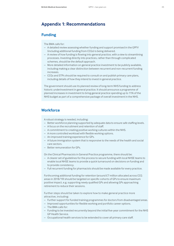# **Appendix 1: Recommendations**

# **Funding**

The BMA calls for:

- A detailed review assessing whether funding and support promised in the GPFV (including additional funding from CCGs) is being delivered.
- A review of how funding is flowing into general practice, with a view to streamlining processes. Investing directly into practices, rather than through complicated schemes, should be the default approach.
- More detailed information on general practice investment to be publicly available, including making a clear distinction between recurrent and non-recurrent funding increases.
- CCGs and STPs should be required to consult on and publish primary care plans, including details of how they intend to invest in general practice.

The government should use its planned review of long-term NHS funding to address historic underinvestment in general practice. It should announce a programme of planned increases in investment to bring general practice spending up to 11% of the NHS budget as part of a comprehensive package of overall investment in the NHS.

# **Workforce**

A robust strategy is needed, including:

- Better workforce planning supported by adequate data to ensure safe staffing levels.
- A focus on the recruitment and retention of staff.
- A commitment to creating positive working cultures within the NHS.
- A more controlled workload with flexible working options.
- An improved training experience for GPs.
- A future immigration system that is responsive to the needs of the health and social care sectors.
- Better remuneration for GPs.

On the Clinical Pharmacists in General Practice programme, there should be:

- A clearer set of guidelines for the process to secure funding with local NHSE teams to enable local NHSE teams to provide a quick turnaround on decisions on funding and to provide consistency.
- Full recurrent funding for pharmacists should be made available for every practice.

Forthcoming additional funding for retention (around £7 million allocated across CCG areas in 2018/19) should be targeted on specific cohorts of GPs to ensure maximum positive impact, e.g. supporting newly qualified GPs and allowing GPs approaching retirement to reduce their sessions.

Further steps should be taken to explore how to make general practice more attractive, including:

- Further support for funded training programmes for doctors from disadvantaged areas.
- Improved opportunities for flexible working and portfolio career options.
- The BMA calls for:
- Funding to be invested recurrently beyond the initial five-year commitment for the NHS GP Health Service.
- Occupational health services to be extended to cover all primary care staff.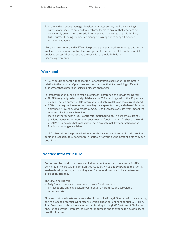- To improve the practice manager development programme, the BMA is calling for:
- A review of guidelines provided to local area teams to ensure that practices are consistently being given the flexibility to decided how best to use this funding.
- Full recurrent funding for practice manager training and to support practice manager networks.

LMCs, commissioners and IAPT service providers need to work together to design and implement co-location contractual arrangements that see mental health therapists deployed across GP practices and the costs for this included within Licence Agreements.

# **Workload**

NHSE should monitor the impact of the General Practice Resilience Programme in relation to the number of practice closures to ensure that it is providing sufficient support for those practices facing significant challenges.

For transformation funding to make a significant difference, the BMA is calling for:

- NHSE to regularly collect and publish data on CCG spending against the £3 per head pledge. There is currently little information publicly available on the current spend.
- CCGs to be required to report on how they have spent funding, and where it is having an impact. NHSE should work with CCGs, GPC and LMCs to evaluate what impact the scheme is having in each region.
- More clarity around the future of transformation funding. The scheme currently provides money from a non-recurrent stream of funding, which finishes at the end of 2019. It is unclear what impact it will have on sustainability for practices once funding is no longer available.

NHS England should explore whether extended access services could help provide additional capacity to wider general practice, by offering appointment slots they can book into.

# **Practice infrastructure**

Better premises and structures are vital to patient safety and necessary for GPs to deliver quality care within communities. As such, NHSE and DHSC need to urgently enable development grants as a key step for general practice to be able to meet population demand.

The BMA is calling for:

- Fully funded rental and maintenance costs for all practices.
- Increased and ongoing capital investment in GP premises and associated revenue costs.

Slow and outdated systems cause delays in consultations, difficulties with data sharing and can lead to potential cyber-attacks, which places patient confidentiality at risk. The Government should invest recurrent funding through GP Systems of Choice to ensure the current IT infrastructure is fit for purpose and to expand the availability of new IT initiatives.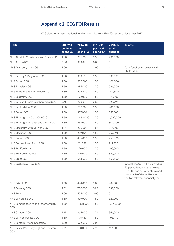# **Appendix 2: CCG FOI Results**

CCG plans for transformational funding – results from BMA FOI request, November 2017

| <b>CCG</b>                                     | 2017/18<br>per head<br>spend (£) | 2017/18<br>total<br>spend (£) | 2018/19<br>per head<br>spend (£) | 2018/19<br>total<br>spend (£) | To note                                                                                                                                                                               |
|------------------------------------------------|----------------------------------|-------------------------------|----------------------------------|-------------------------------|---------------------------------------------------------------------------------------------------------------------------------------------------------------------------------------|
| NHS Airedale, Wharfedale and Craven CCG        | 1.50                             | 236,000                       | 1.50                             | 236,000                       |                                                                                                                                                                                       |
| NHS Ashford CCG                                | 3.00                             | 393,891                       | 0.00                             | $\mathbf{0}$                  |                                                                                                                                                                                       |
| NHS Aylesbury Vale CCG                         | 1.00                             | $\frac{1}{2}$                 | 2.00                             |                               | Total funding will be split with<br>Chiltern CCG.                                                                                                                                     |
| NHS Barking & Dagenham CCG                     | 1.50                             | 333,585                       | 1.50                             | 333,585                       |                                                                                                                                                                                       |
| <b>NHS Barnet CCG</b>                          | 1.50                             | 600,000                       | 1.50                             | 600,000                       |                                                                                                                                                                                       |
| NHS Barnsley CCG                               | 1.50                             | 386,000                       | 1.50                             | 386,000                       |                                                                                                                                                                                       |
| NHS Basildon and Brentwood CCG                 | 1.50                             | 202,500                       | 1.50                             | 202,500                       |                                                                                                                                                                                       |
| NHS Bassetlaw CCG                              | 1.50                             | 172,000                       | 1.50                             | 173,000                       |                                                                                                                                                                                       |
| NHS Bath and North East Somerset CCG           | 0.45                             | 90,204                        | 2.55                             | 523,796                       |                                                                                                                                                                                       |
| NHS Bedfordshire CCG                           | 1.50                             | 700,000                       | 1.50                             | 700,000                       |                                                                                                                                                                                       |
| <b>NHS Bexley CCG</b>                          | 1.50                             | 357,000                       | 1.50                             | 357,000                       |                                                                                                                                                                                       |
| NHS Birmingham Cross City CCG                  | 1.50                             | 1,092,000                     | 1.50                             | 1,092,000                     |                                                                                                                                                                                       |
| NHS Birmingham South and Central CCG           | 1.50                             | 489,000                       | 1.50                             | 500,000                       |                                                                                                                                                                                       |
| NHS Blackburn with Darwen CCG                  | 1.16                             | 200,000                       | 1.84                             | 316,000                       |                                                                                                                                                                                       |
| NHS Blackpool CCG                              | 1.50                             | 259,891                       | 1.50                             | 259,891                       |                                                                                                                                                                                       |
| NHS Bolton CCG                                 | 1.50                             | 455,000                       | 1.50                             | 455,000                       |                                                                                                                                                                                       |
| NHS Bracknell and Ascot CCG                    | 1.50                             | 211,298                       | 1.50                             | 211,298                       |                                                                                                                                                                                       |
| NHS Bradford City                              | 1.50                             | 190,000                       | 1.50                             | 190,000                       |                                                                                                                                                                                       |
| <b>NHS Bradford Districts</b>                  | 1.50                             | 520,000                       | 1.50                             | 520,000                       |                                                                                                                                                                                       |
| NHS Brent CCG                                  | 1.50                             | 553,500                       | 1.50                             | 553,500                       |                                                                                                                                                                                       |
| NHS Brighton & Hove CCG                        | $\overline{\phantom{m}}$         | $\overline{a}$                | $\overline{\phantom{a}}$         | $\overline{\phantom{a}}$      | In total, the CCG will be providing<br>£3 per patient over the two years.<br>The CCG has not yet determined<br>how much of this will be spent in<br>the two relevant financial years. |
| <b>NHS Bristol CCG</b>                         | 1.00                             | 494,000                       | 2.00                             | 987,000                       |                                                                                                                                                                                       |
| NHS Bromley CCG                                | 2.02                             | 700,000                       | 0.98                             | 338,000                       |                                                                                                                                                                                       |
| <b>NHS Bury</b>                                | 3.00                             | 605,000                       | 0.00                             | $\circ$                       |                                                                                                                                                                                       |
| <b>NHS Calderdale CCG</b>                      | 1.50                             | 329,000                       | 1.50                             | 329,000                       |                                                                                                                                                                                       |
| NHS Cambridgeshire and Peterborough<br>CCG     | 1.50                             | 1,398,000                     | 1.50                             | 1,398,000                     |                                                                                                                                                                                       |
| NHS Camden CCG                                 | 1.49                             | 366,000                       | 1.51                             | 366,000                       |                                                                                                                                                                                       |
| NHS Cannock Chase CCG                          | 1.50                             | 198,410                       | 1.50                             | 198,410                       |                                                                                                                                                                                       |
| NHS Canterbury and Coastal CCG                 | 3.00                             | 672,600                       | 0.00                             | $\circ$                       |                                                                                                                                                                                       |
| NHS Castle Point, Rayleigh and Rochford<br>CCG | 0.75                             | 138,000                       | 2.25                             | 414,000                       |                                                                                                                                                                                       |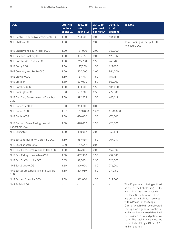| <b>CCG</b>                                        | 2017/18<br>per head<br>spend (£) | 2017/18<br>total<br>spend (£) | 2018/19<br>per head<br>spend (£) | 2018/19<br>total<br>spend (£) | To note                                                                                                                                                                                                                                                                                                                                                                                                                                                               |
|---------------------------------------------------|----------------------------------|-------------------------------|----------------------------------|-------------------------------|-----------------------------------------------------------------------------------------------------------------------------------------------------------------------------------------------------------------------------------------------------------------------------------------------------------------------------------------------------------------------------------------------------------------------------------------------------------------------|
| NHS Central London (Westminster CCG)              | 1.00                             | 203,000                       | 2.00                             | 406,000                       |                                                                                                                                                                                                                                                                                                                                                                                                                                                                       |
| <b>NHS Chiltern CCG</b>                           | 1.00                             |                               | 2.00                             | $\overline{\phantom{a}}$      | Total funding will be split with<br>Aylesbury CCG.                                                                                                                                                                                                                                                                                                                                                                                                                    |
| NHS Chorley and South Ribble CCG                  | 1.00                             | 181,000                       | 2.00                             | 362,000                       |                                                                                                                                                                                                                                                                                                                                                                                                                                                                       |
| NHS City and Hackney CCG                          | 1.00                             | 306,053                       | 2.05                             | 623,947                       |                                                                                                                                                                                                                                                                                                                                                                                                                                                                       |
| NHS Coastal West Sussex CCG                       | 1.50                             | 765,700                       | 1.50                             | 765,700                       |                                                                                                                                                                                                                                                                                                                                                                                                                                                                       |
| NHS Corby CCG                                     | 1.50                             | 117,000                       | 1.50                             | 117,000                       |                                                                                                                                                                                                                                                                                                                                                                                                                                                                       |
| NHS Coventry and Rugby CCG                        | 1.00                             | 500,000                       | 2.00                             | 966,000                       |                                                                                                                                                                                                                                                                                                                                                                                                                                                                       |
| <b>NHS Crawley CCG</b>                            | 1.50                             | 187,167                       | 1.50                             | 187,167                       |                                                                                                                                                                                                                                                                                                                                                                                                                                                                       |
| NHS Croydon                                       | 1.50                             | 607,000                       | 1.50                             | 607,000                       |                                                                                                                                                                                                                                                                                                                                                                                                                                                                       |
| NHS Cumbria CCG                                   | 1.50                             | 484.000                       | 1.50                             | 484,000                       |                                                                                                                                                                                                                                                                                                                                                                                                                                                                       |
| NHS Darlington CCG                                | 0.50                             | 55,000                        | 2.50                             | 277,000                       |                                                                                                                                                                                                                                                                                                                                                                                                                                                                       |
| NHS Dartford, Gravesham and Swanley<br>CCG        | 1.50                             | 392,238                       | 1.50                             | 400,114                       |                                                                                                                                                                                                                                                                                                                                                                                                                                                                       |
| <b>NHS Doncaster CCG</b>                          | 3.00                             | 944,000                       | 0.00                             | $\circ$                       |                                                                                                                                                                                                                                                                                                                                                                                                                                                                       |
| <b>NHS Dorset CCG</b>                             | 1.375                            | 1,100,000                     | 1.625                            | 1,300,000                     |                                                                                                                                                                                                                                                                                                                                                                                                                                                                       |
| <b>NHS Dudley CCG</b>                             | 1.50                             | 476,000                       | 1.50                             | 476,000                       |                                                                                                                                                                                                                                                                                                                                                                                                                                                                       |
| NHS Durham Dales, Easington and<br>Sedgefield CCG | 1.50                             | 428,000                       | 1.50                             | 428,000                       |                                                                                                                                                                                                                                                                                                                                                                                                                                                                       |
| <b>NHS Ealing CCG</b>                             | 1.00                             | 430,087                       | 2.00                             | 860,174                       |                                                                                                                                                                                                                                                                                                                                                                                                                                                                       |
| NHS East and North Hertfordshire CCG              | 1.50                             | 887,885                       | 1.50                             | 904,717                       |                                                                                                                                                                                                                                                                                                                                                                                                                                                                       |
| NHS East Lancashire CCG                           | 3.00                             | 1,127,475                     | 0.00                             | $\mathbf{0}$                  |                                                                                                                                                                                                                                                                                                                                                                                                                                                                       |
| NHS East Leicestershire and Rutland CCG           | 1.00                             | 326,000                       | 2.00                             | 652,000                       |                                                                                                                                                                                                                                                                                                                                                                                                                                                                       |
| NHS East Riding of Yorkshire CCG                  | 1.50                             | 452,380                       | 1.50                             | 452,380                       |                                                                                                                                                                                                                                                                                                                                                                                                                                                                       |
| NHS East Staffordshire CCG                        | 0.65                             | 91,000                        | 2.35                             | 326,000                       |                                                                                                                                                                                                                                                                                                                                                                                                                                                                       |
| <b>NHS East Surrey CCG</b>                        | 1.50                             | 276,000                       | 1.50                             | 276,000                       |                                                                                                                                                                                                                                                                                                                                                                                                                                                                       |
| NHS Eastbourne, Hailsham and Seaford<br>CCG       | 1.50                             | 274,950                       | 1.50                             | 274,950                       |                                                                                                                                                                                                                                                                                                                                                                                                                                                                       |
| NHS Eastern Cheshire CCG                          | 1.50                             | 312,000                       | 1.50                             | 312,000                       |                                                                                                                                                                                                                                                                                                                                                                                                                                                                       |
| <b>NHS Enfield CCG</b>                            | $\overline{a}$                   |                               |                                  | $\overline{a}$                | The £3 per head is being utilised<br>as part of the Enfield Single Offer<br>which is a 2-year contract with<br>the local GP Federation. There<br>are currently 8 clinical services<br>within Phase I of the Single<br>Offer of which 6 will be delivered<br>through local general practices<br>and it has been agreed that 2 will<br>be provided to Enfield patients at<br>scale. The total finance allocated<br>to the Enfield Single Offer is £2<br>million pounds. |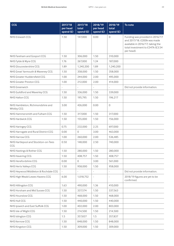| <b>CCG</b>                                     | 2017/18<br>per head<br>spend (£) | 2017/18<br>total<br>spend (£) | 2018/19<br>per head<br>spend (£) | 2018/19<br>total<br>spend (£) | To note                                                                                                                                              |
|------------------------------------------------|----------------------------------|-------------------------------|----------------------------------|-------------------------------|------------------------------------------------------------------------------------------------------------------------------------------------------|
| NHS Erewash CCG                                | 1.50                             | 147,000                       | 0.00                             | $\circ$                       | Funding was provided in 2016/17<br>and 2017/18. £200k was made<br>available in 2016/17, taking the<br>total investment to £347k (£3.54<br>per head). |
| NHS Fareham and Gosport CCG                    | 1.50                             | 306,000                       | 1.50                             | 310,000                       |                                                                                                                                                      |
| NHS Fylde & Wyre CCG                           | 1.76                             | 267,000                       | 1.24                             | 187,000                       |                                                                                                                                                      |
| NHS Gloucestershire CCG                        | 1.89                             | 1,240,200                     | 1.89                             | 1,240,200                     |                                                                                                                                                      |
| NHS Great Yarmouth & Waveney CCG               | 1.50                             | 358,000                       | 1.50                             | 358,000                       |                                                                                                                                                      |
| NHS Greater Huddersfield CCG                   | 1.00                             | 244,000                       | 2.00                             | 495,000                       |                                                                                                                                                      |
| NHS Greater Preston CCG                        | 1.00                             | 212,000                       | 2.00                             | 414,000                       |                                                                                                                                                      |
| <b>NHS Greenwich</b>                           |                                  |                               |                                  |                               | Did not provide information.                                                                                                                         |
| NHS Guildford and Waverley CCG                 | 1.50                             | 336,000                       | 1.50                             | 339,000                       |                                                                                                                                                      |
| NHS Halton CCG                                 | 1.50                             | 195,795                       | 1.50                             | 196,217                       |                                                                                                                                                      |
| NHS Hambleton, Richmondshire and<br>Whitby CCG | 3.00                             | 426,000                       | 0.00                             | $\circ$                       |                                                                                                                                                      |
| NHS Hammersmith and Fulham CCG                 | 1.50                             | 317,000                       | 1.50                             | 317,000                       |                                                                                                                                                      |
| NHS Hardwick CCG                               | 1.50                             | 155,000                       | 1.50                             | 156,000                       |                                                                                                                                                      |
| NHS Haringey CCG                               | 0.75                             | 232,000                       | 2.25                             | 697,000                       |                                                                                                                                                      |
| NHS Harrogate and Rural District CCG           | 0.00                             | 0                             | 3.00                             | 463,000                       |                                                                                                                                                      |
| NHS Harrow CCG                                 | 1.00                             | 260,000                       | 2.00                             | 536,485                       |                                                                                                                                                      |
| NHS Hartlepool and Stockton-on-Tees<br>CCG     | 0.50                             | 148,000                       | 2.50                             | 740,000                       |                                                                                                                                                      |
| NHS Hastings & Rother CCG                      | 1.50                             | 280,000                       | 1.50                             | 280,000                       |                                                                                                                                                      |
| <b>NHS Havering CCG</b>                        | 1.50                             | 408,757                       | 1.50                             | 408,757                       |                                                                                                                                                      |
| NHS Herefordshire CCG                          | 0.00                             | $\mathbf{O}$                  | 3.00                             | 561,000                       |                                                                                                                                                      |
| NHS Herts Valleys CCG                          | 1.50                             | 958,000                       | 1.50                             | 958,000                       |                                                                                                                                                      |
| NHS Heywood Middleton & Rochdale CCG           | $\overline{\phantom{a}}$         | $\overline{\phantom{0}}$      |                                  | $\overline{\phantom{a}}$      | Did not provide information.                                                                                                                         |
| NHS High Weald Lewes Havens CCG                | 6.00                             | 1,018,752                     |                                  |                               | 2018/19 figures are yet to be<br>confirmed.                                                                                                          |
| NHS Hillingdon CCG                             | 1.63                             | 490,000                       | 1.36                             | 410,000                       |                                                                                                                                                      |
| NHS Horsham and Mid Sussex CCG                 | 1.50                             | 337,574                       | 1.50                             | 337,563                       |                                                                                                                                                      |
| <b>NHS Hounslow CCG</b>                        | 1.50                             | 468,000                       | 1.50                             | 468,000                       |                                                                                                                                                      |
| NHS Hull CCG                                   | 1.50                             | 440,000                       | 1.50                             | 440,000                       |                                                                                                                                                      |
| NHS Ipswich and East Suffolk CCG               | 1.00                             | 402,000                       | 2.00                             | 803,000                       |                                                                                                                                                      |
| NHS Isle of Wight CCG                          | 1.50                             | 214,500                       | 1.50                             | 214,500                       |                                                                                                                                                      |
| NHS Islington CCG                              | 1.5                              | 357,837                       | 1.5                              | 357,837                       |                                                                                                                                                      |
| <b>NHS Kernow CCG</b>                          | 1.50                             | 848,000                       | 1.50                             | 848,000                       |                                                                                                                                                      |
| NHS Kingston CCG                               | 1.50                             | 309,000                       | 1.50                             | 309,000                       |                                                                                                                                                      |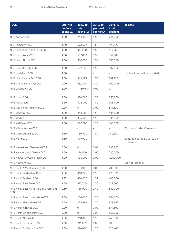| <b>CCG</b>                                  | 2017/18<br>per head | 2017/18<br>total         | 2018/19<br>per head | 2018/19<br>total         | To note                                     |
|---------------------------------------------|---------------------|--------------------------|---------------------|--------------------------|---------------------------------------------|
|                                             | spend (£)           | spend (£)                | spend (£)           | spend (£)                |                                             |
| <b>NHS Knowsley CCG</b>                     | 1.50                | 244,000                  | 1.50                | 244,000                  |                                             |
| NHS Lambeth CCG                             | 1.50                | 593,579                  | 1.50                | 593,579                  |                                             |
| NHS Leeds South and East CCG                | 1.50                | 417,000                  | 1.50                | 417,000                  |                                             |
| NHS Leeds West CCG                          | 1.50                | 557.000                  | 1.50                | 557,000                  |                                             |
| NHS Leeds North CCG                         | 1.50                | 350,000                  | 1.50                | 350,000                  |                                             |
| NHS Leicester City CCG                      | 1.50                | 582,500                  | 1.50                | 582,500                  |                                             |
| NHS Lewisham CCG                            | 1.50                | $\overline{\phantom{a}}$ | L,                  | $\overline{\phantom{a}}$ | Unclear information provided.               |
| NHS Lincolnshire East CCG                   | 1.50                | 369,225                  | 1.50                | 369,225                  |                                             |
| NHS Lincolnshire West CCG                   | 0.20                | 45,000                   | 2.80                | 660,000                  |                                             |
| <b>NHS Liverpool CCG</b>                    | 3.00                | 1,750,995                | 0.00                | 0                        |                                             |
| <b>NHS Luton CCG</b>                        | 1.50                | 350,000                  | 1.50                | 350,000                  |                                             |
| <b>NHS Manchester</b>                       | 1.50                | 908,000                  | 1.50                | 908,000                  |                                             |
| NHS Mansfield & Ashfield CCG                | 0.00                | $\Omega$                 | 3.00                | 571,100                  |                                             |
| NHS Medway CCG                              | 1.50                | 444,000                  | 1.50                | 444,000                  |                                             |
| <b>NHS Merton</b>                           | 1.50                | 336,000                  | 1.50                | 336,000                  |                                             |
| NHS Mid Essex CCG                           | 1.30                | 500,000                  | 1.70                | 665,000                  |                                             |
| NHS Milton Keynes CCG                       |                     |                          |                     |                          | Did not provide information.                |
| NHS Morecambe Bay CCG                       | 1.50                | 180,500                  | 1.50                | 180,500                  |                                             |
| NHS Nene CCG                                | 1.50                | 999,000                  |                     |                          | 2018/19 figures are yet to be<br>confirmed. |
| NHS Newark and Sherwood CCG                 | 0.00                | $\circ$                  | 3.00                | 395,800                  |                                             |
| NHS Newbury and District CCG                | 1.00                | 114,000                  | 2.00                | 230,000                  |                                             |
| NHS Newcastle Gateshead CCG                 | 1.00                | 500,000                  | 2.00                | 1,000,000                |                                             |
| NHS Newham CCG                              |                     |                          |                     |                          | Did not respond.                            |
| NHS North & West Reading CCG                | 1.00                | 104,000                  | 2.00                | 209,000                  |                                             |
| NHS North Derbyshire CCG                    | 1.50                | 468,225                  | 1.50                | 470,000                  |                                             |
| NHS North Durham CCG                        | 1.77                | 450,000                  | 1.57                | 400,000                  |                                             |
| NHS North East Essex CCG                    | 1.50                | 517,000                  | 1.50                | 521,000                  |                                             |
| NHS North East Hampshire and Farnham<br>CCG | 0.60                | 135,000                  | 2.40                | 540,000                  |                                             |
| NHS North East Lincolnshire CCG             | 1.50                | 254,000                  | 1.50                | 254,000                  |                                             |
| NHS North Hampshire CCG                     | 1.50                | 335,610                  | 1.50                | 338,949                  |                                             |
| NHS North Kirklees CCG                      | 0.00                | 0                        | 3.00                | 574,500                  |                                             |
| NHS North Lincolnshire CCG                  | 0.00                | $\circ$                  | 3.00                | 558,000                  |                                             |
| NHS North Norfolk CCG                       | 1.50                | 260,000                  | 1.50                | 260,000                  |                                             |
| NHS North Somerset CCG                      | 1.00                | 219,009                  | 2.00                | 438,018                  |                                             |
| NHS North Staffordshire CCG                 | 1.50                | 326,400                  | 1.50                | 326,400                  |                                             |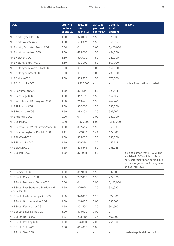| <b>CCG</b>                                              | 2017/18<br>per head<br>spend (£) | 2017/18<br>total<br>spend (£) | 2018/19<br>per head<br>spend (£) | 2018/19<br>total<br>spend (£) | To note                                                                                                                                                                 |
|---------------------------------------------------------|----------------------------------|-------------------------------|----------------------------------|-------------------------------|-------------------------------------------------------------------------------------------------------------------------------------------------------------------------|
| NHS North Tyneside CCG                                  | 1.50                             | 329,000                       | 1.50                             | 329,000                       |                                                                                                                                                                         |
| NHS North West Surrey                                   | 1.50                             | 554,919                       | 1.50                             | 554,919                       |                                                                                                                                                                         |
| NHS North, East, West Devon CCG                         | 0.00                             | $\circ$                       | 3.00                             | 3,600,000                     |                                                                                                                                                                         |
| NHS Northumberland CCG                                  | 1.50                             | 484,000                       | 1.50                             | 484,000                       |                                                                                                                                                                         |
| <b>NHS Norwich CCG</b>                                  | 1.50                             | 320,000                       | 1.50                             | 320,000                       |                                                                                                                                                                         |
| NHS Nottingham City CCG                                 | 1.50                             | 500,000                       | 1.50                             | 500,000                       |                                                                                                                                                                         |
| NHS Nottingham North & East CCG                         | 0.00                             | $\circ$                       | 3.00                             | 460,000                       |                                                                                                                                                                         |
| NHS Nottingham West CCG                                 | 0.00                             | $\circ$                       | 3.00                             | 290,000                       |                                                                                                                                                                         |
| NHS Oldham CCG                                          | 1.50                             | 373,500                       | 1.50                             | 373,500                       |                                                                                                                                                                         |
| NHS Oxfordshire CCG                                     |                                  | 3,200,000                     |                                  |                               | Unclear information provided.                                                                                                                                           |
| NHS Portsmouth CCG                                      | 1.50                             | 321,614                       | 1.50                             | 321,614                       |                                                                                                                                                                         |
| NHS Redbridge CCG                                       | 1.50                             | 467,709                       | 1.50                             | 467,709                       |                                                                                                                                                                         |
| NHS Redditch and Bromsgrove CCG                         | 1.50                             | 263,641                       | 1.50                             | 264,766                       |                                                                                                                                                                         |
| NHS Richmond CCG                                        | 1.50                             | 330,000                       | 1.50                             | 330,000                       |                                                                                                                                                                         |
| NHS Rotherham CCG                                       | 1.50                             | 389,202                       | 1.50                             | 389,202                       |                                                                                                                                                                         |
| NHS Rushcliffe CCG                                      | 0.00                             | $\circ$                       | 3.00                             | 380,000                       |                                                                                                                                                                         |
| NHS Salford CCG                                         | 5.00                             | 1,300,000                     | 6.00                             | 1,600,000                     |                                                                                                                                                                         |
| NHS Sandwell and West Birmingham CCG                    | 1.50                             | 852,665                       | 1.50                             | 865,589                       |                                                                                                                                                                         |
| NHS Scarborough and Ryedale CCG                         | 1.43                             | 172,000                       | 1.43                             | 172,000                       |                                                                                                                                                                         |
| NHS Sheffield CCG                                       | 1.50                             | 833,000                       | 1.50                             | 833,000                       |                                                                                                                                                                         |
| NHS Shropshire CCG                                      | 1.50                             | 459,528                       | 1.50                             | 459,528                       |                                                                                                                                                                         |
| NHS Slough CCG                                          | 1.50                             | 236,345                       | 1.50                             | 236,345                       |                                                                                                                                                                         |
| NHS Solihull CCG                                        | 1.50                             | 371,088                       | 1.50                             |                               | It is anticipated that £1.50 will be<br>available in 2018-19, but this has<br>not yet formally been agreed due<br>to the merger of the Birmingham<br>and Solihull CCGs. |
| <b>NHS Somerset CCG</b>                                 | 1.50                             | 847,000                       | 1.50                             | 847,000                       |                                                                                                                                                                         |
| NHS South Cheshire CCG                                  | 1.50                             | 272,000                       | 1.50                             | 272,000                       |                                                                                                                                                                         |
| NHS South Devon and Torbay CCG                          | 0.00                             | 0                             | 3.00                             | 3,600,000                     |                                                                                                                                                                         |
| NHS South East Staffs and Seisdon and<br>Peninsular CCG | 1.50                             | 326,090                       | 1.50                             | 326,090                       |                                                                                                                                                                         |
| NHS South Eastern Hampshire CCG                         | 1.50                             | 320,000                       | 1.50                             | 322,000                       |                                                                                                                                                                         |
| NHS South Gloucestershire CCG                           | 1.00                             | 268,000                       | 2.00                             | 537,000                       |                                                                                                                                                                         |
| NHS South Kent Coast CCG                                | 1.50                             | 301,500                       | 1.50                             | 301,500                       |                                                                                                                                                                         |
| NHS South Lincolnshire CCG                              | 3.00                             | 498,000                       | 0.00                             | $\circ$                       |                                                                                                                                                                         |
| NHS South Norfolk CCG                                   | 1.23                             | 283,710                       | 1.77                             | 407,000                       |                                                                                                                                                                         |
| NHS South Reading CCG                                   | 1.00                             | 126,000                       | 2.00                             | 254,000                       |                                                                                                                                                                         |
| NHS South Sefton CCG                                    | 3.00                             | 465,000                       | 0.00                             | $\circ$                       |                                                                                                                                                                         |
| NHS South Tees CCG                                      |                                  |                               |                                  |                               | Unable to publish information.                                                                                                                                          |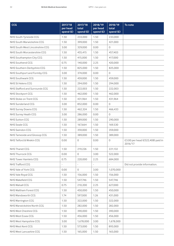| <b>CCG</b>                      | 2017/18<br>per head<br>spend (£) | 2017/18<br>total<br>spend (£) | 2018/19<br>per head<br>spend (£) | 2018/19<br>total<br>spend (£) | To note                                      |
|---------------------------------|----------------------------------|-------------------------------|----------------------------------|-------------------------------|----------------------------------------------|
| NHS South Tyneside CCG          | 1.50                             | 233,000                       | 1.50                             | 233,000                       |                                              |
| NHS South Warwickshire CCG      | 1.50                             | 399,000                       | 1.50                             | 421,000                       |                                              |
| NHS South West Lincolnshire CCG | 3.00                             | 329,000                       | 0.00                             | $\circ$                       |                                              |
| NHS South Worcestershire CCG    | 1.50                             | 455,415                       | 1.50                             | 457,403                       |                                              |
| NHS Southampton City CCG        | 1.50                             | 415,000                       | 1.50                             | 417,000                       |                                              |
| NHS Southend CCG                | 0.75                             | 140,000                       | 2.25                             | 420,000                       |                                              |
| NHS Southern Derbyshire CCG     | 1.50                             | 825,000                       | 1.50                             | 825,000                       |                                              |
| NHS Southport and Formby CCG    | 3.00                             | 374,000                       | 0.00                             | $\circ$                       |                                              |
| <b>NHS Southwark CCG</b>        | 1.50                             | 459,000                       | 1.50                             | 459,000                       |                                              |
| <b>NHS St Helens CCG</b>        | 1.50                             | 294,000                       | 1.50                             | 294,000                       |                                              |
| NHS Stafford and Surrounds CCG  | 1.50                             | 222,003                       | 1.50                             | 222,003                       |                                              |
| <b>NHS Stockport CCG</b>        | 1.50                             | 462,000                       | 1.50                             | 462,000                       |                                              |
| NHS Stoke on Trent CCG          | 1.50                             | 431,964                       | 1.50                             | 431,964                       |                                              |
| NHS Sunderland CCG              | 3.00                             | 852,000                       | 0.00                             | $\mathbf{0}$                  |                                              |
| NHS Surrey Downs CCG            | 1.50                             | 462,324                       | 1.50                             | 466,433                       |                                              |
| NHS Surrey Heath CCG            | 3.00                             | 286,000                       | 0.00                             | $\mathbf{0}$                  |                                              |
| <b>NHS Sutton CCG</b>           | 1.50                             | 289,000                       | 1.50                             | 290,000                       |                                              |
| <b>NHS Swale CCG</b>            | 1.50                             | 167,664                       | 1.50                             | 169,530                       |                                              |
| NHS Swindon CCG                 | 1.50                             | 359,000                       | 1.50                             | 359,000                       |                                              |
| NHS Tameside and Glossop CCG    | 1.50                             | 389,000                       | 1.50                             | 389,000                       |                                              |
| NHS Telford & Wrekin CCG        | 0.00                             | $\mathbf{O}$                  | 0.00                             | 0                             | £3.00 per head (£522,408) paid in<br>2016/17 |
| <b>NHS Thanet CCG</b>           | 1.50                             | 219,226                       | 1.50                             | 221,132                       |                                              |
| <b>NHS Thurrock CCG</b>         | 0.00                             | 0                             | 3.00                             | 522,000                       |                                              |
| <b>NHS Tower Hamlets CCG</b>    | 0.75                             | 220,000                       | 2.25                             | 684,000                       |                                              |
| NHS Trafford CCG                | $\overline{\phantom{m}}$         | $\overline{\phantom{a}}$      | $\overline{\phantom{a}}$         | $\overline{\phantom{a}}$      | Did not provide information.                 |
| NHS Vale of York CCG            | 0.00                             | $\circ$                       | 3.00                             | 1,070,000                     |                                              |
| NHS Vale Royal CCG              | 1.50                             | 156,000                       | 1.50                             | 156,000                       |                                              |
| NHS Wakefield CCG               | 1.50                             | 547,746                       | 1.50                             | 547,746                       |                                              |
| <b>NHS Walsall CCG</b>          | 0.75                             | 210,200                       | 2.25                             | 627,000                       |                                              |
| NHS Waltham Forest CCG          | 1.50                             | 450,000                       | 1.50                             | 450,000                       |                                              |
| NHS Wandsworth CCG              | 1.74                             | 597,000                       | 1.26                             | 431,000                       |                                              |
| NHS Warrington CCG              | 1.50                             | 322,000                       | 1.50                             | 322,000                       |                                              |
| NHS Warwickshire North CCG      | 1.50                             | 282,000                       | 1.50                             | 282,000                       |                                              |
| NHS West Cheshire CCG           | 1.50                             | 390,000                       | 1.50                             | 390,000                       |                                              |
| NHS West Essex CCG              | 1.50                             | 456,000                       | 1.50                             | 456,000                       |                                              |
| NHS West Hampshire CCG          | 3.00                             | 1,678,000                     | 3.00                             | 1,678,000                     |                                              |
| NHS West Kent CCG               | 1.50                             | 573,000                       | 1.50                             | 893,000                       |                                              |
| NHS West Lancashire CCG         | 1.50                             | 165,000                       | 1.50                             | 165,000                       |                                              |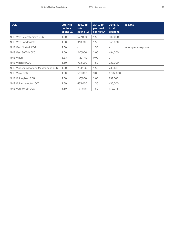| <b>CCG</b>                            | 2017/18<br>per head<br>spend (£) | 2017/18<br>total<br>spend $(E)$ | 2018/19<br>per head<br>spend (£) | 2018/19<br>total<br>spend $(E)$ | To note             |
|---------------------------------------|----------------------------------|---------------------------------|----------------------------------|---------------------------------|---------------------|
| NHS West Leicestershire CCG           | 1.50                             | 527,000                         | 1.50                             | 580,000                         |                     |
| NHS West London CCG                   | 1.50                             | 368,000                         | 1.50                             | 368,000                         |                     |
| NHS West Norfolk CCG                  | 1.50                             | $\overline{\phantom{a}}$        | 1.50                             | $\overline{\phantom{0}}$        | Incomplete response |
| NHS West Suffolk CCG                  | 1.00                             | 247,000                         | 2.00                             | 494,000                         |                     |
| NHS Wigan                             | 3.33                             | 1,221,401                       | 0.00                             | 0                               |                     |
| NHS Wiltshire CCG                     | 1.50                             | 733,000                         | 1.50                             | 733,000                         |                     |
| NHS Windsor, Ascot and Maidenhead CCG | 1.50                             | 233,136                         | 1.50                             | 233,136                         |                     |
| <b>NHS Wirral CCG</b>                 | 1.50                             | 501.000                         | 3.00                             | 1,002,000                       |                     |
| NHS Wokingham CCG                     | 1.00                             | 147,000                         | 2.00                             | 297,000                         |                     |
| NHS Wolverhampton CCG                 | 1.50                             | 435,000                         | 1.50                             | 435,000                         |                     |
| NHS Wyre Forest CCG                   | 1.50                             | 171,878                         | 1.50                             | 172,215                         |                     |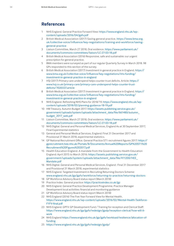# **References**

- 1 NHS England. General Practice Forward View: [https://www.england.nhs.uk/wp](https://www.england.nhs.uk/wp-content/uploads/2016/04/gpfv.pdf)[content/uploads/2016/04/gpfv.pdf](https://www.england.nhs.uk/wp-content/uploads/2016/04/gpfv.pdf)
- 2 British Medical Association (2017) Saving general practice. [https://www.bma.org.](https://www.bma.org.uk/collective-voice/influence/key-negotiations/training-and-workforce/saving-general-practice) [uk/collective-voice/influence/key-negotiations/training-and-workforce/saving](https://www.bma.org.uk/collective-voice/influence/key-negotiations/training-and-workforce/saving-general-practice)[general-practice](https://www.bma.org.uk/collective-voice/influence/key-negotiations/training-and-workforce/saving-general-practice)
- 3 Liaison Committee, March 27 2018, Oral evidence. [https://www.parliament.uk/](https://www.parliament.uk/documents/commons-committees/liaison/LC-27-03-18.pdf) [documents/commons-committees/liaison/LC-27-03-18.pdf](https://www.parliament.uk/documents/commons-committees/liaison/LC-27-03-18.pdf)
- 4 British Medical Association (2016) Responsive, safe and sustainable: our urgent prescription for general practice.
- 5 BMA members were surveyed as part of our regular Quarterly Survey in March 2018. 98 GPs responded to this section of the survey.
- 6 British Medical Association (2017) Investment in general practice in England. [https://](https://www.bma.org.uk/collective-voice/influence/key-negotiations/nhs-funding/investment-in-general-practice-in-england) [www.bma.org.uk/collective-voice/influence/key-negotiations/nhs-funding/](https://www.bma.org.uk/collective-voice/influence/key-negotiations/nhs-funding/investment-in-general-practice-in-england) [investment-in-general-practice-in-england](https://www.bma.org.uk/collective-voice/influence/key-negotiations/nhs-funding/investment-in-general-practice-in-england)
- 7 HSJ (2017) Primary care underspend helps counter trust deficits. Article: [https://](https://www.hsj.co.uk/primary-care/primary-care-underspend-helps-counter-trust-deficits/7020337.article) [www.hsj.co.uk/primary-care/primary-care-underspend-helps-counter-trust](https://www.hsj.co.uk/primary-care/primary-care-underspend-helps-counter-trust-deficits/7020337.article)[deficits/7020337.article](https://www.hsj.co.uk/primary-care/primary-care-underspend-helps-counter-trust-deficits/7020337.article)
- 8 British Medical Association (2017) Investment in general practice in England. [https://](https://www.bma.org.uk/collective-voice/influence/key-negotiations/nhs-funding/investment-in-general-practice-in-england) [www.bma.org.uk/collective-voice/influence/key-negotiations/nhs-funding/](https://www.bma.org.uk/collective-voice/influence/key-negotiations/nhs-funding/investment-in-general-practice-in-england) [investment-in-general-practice-in-england](https://www.bma.org.uk/collective-voice/influence/key-negotiations/nhs-funding/investment-in-general-practice-in-england)
- 9 NHS England. Refreshing NHS Plans for 2018/19. [https://www.england.nhs.uk/wp](https://www.england.nhs.uk/wp-content/uploads/2018/02/planning-guidance-18-19.pdf)[content/uploads/2018/02/planning-guidance-18-19.pdf](https://www.england.nhs.uk/wp-content/uploads/2018/02/planning-guidance-18-19.pdf)
- 10 HM Treasury. Autumn Budget 2017. [https://assets.publishing.service.gov.uk/](https://assets.publishing.service.gov.uk/government/uploads/system/uploads/attachment_data/file/661480/autumn_budget_2017_web.pdf) [government/uploads/system/uploads/attachment\\_data/file/661480/autumn\\_](https://assets.publishing.service.gov.uk/government/uploads/system/uploads/attachment_data/file/661480/autumn_budget_2017_web.pdf) [budget\\_2017\\_web.pdf](https://assets.publishing.service.gov.uk/government/uploads/system/uploads/attachment_data/file/661480/autumn_budget_2017_web.pdf)
- 11 Liaison Committee, March 27 2018, Oral evidence. [https://www.parliament.uk/](https://www.parliament.uk/documents/commons-committees/liaison/LC-27-03-18.pdf) [documents/commons-committees/liaison/LC-27-03-18.pdf](https://www.parliament.uk/documents/commons-committees/liaison/LC-27-03-18.pdf)
- 12 NHS Digital. General and Personal Medical Services, England As at 30 September 2017, Final Experimental statistics
- 13 General and Personal Medical Services, England: Final 31 December 2017 and Provisional 31 March 2018, experimental statistics.
- 14 GP National Recruitment Office. General Practice ST1 recruitment figures 2017: [https://](https://gprecruitment.hee.nhs.uk/Portals/8/Documents/Annual%20Reports/GP%20ST1%20Recruitment%20Figures%202017.pdf) [gprecruitment.hee.nhs.uk/Portals/8/Documents/Annual%20Reports/GP%20ST1%20](https://gprecruitment.hee.nhs.uk/Portals/8/Documents/Annual%20Reports/GP%20ST1%20Recruitment%20Figures%202017.pdf) [Recruitment%20Figures%202017.pdf](https://gprecruitment.hee.nhs.uk/Portals/8/Documents/Annual%20Reports/GP%20ST1%20Recruitment%20Figures%202017.pdf)
- 15 Health Education England. A mandate from the Government to Health Education England: April 2015 to March 2016: [https://assets.publishing.service.gov.uk/](https://assets.publishing.service.gov.uk/government/uploads/system/uploads/attachment_data/file/411200/HEE_Mandate.pdf) [government/uploads/system/uploads/attachment\\_data/file/411200/HEE\\_](https://assets.publishing.service.gov.uk/government/uploads/system/uploads/attachment_data/file/411200/HEE_Mandate.pdf) [Mandate.pdf](https://assets.publishing.service.gov.uk/government/uploads/system/uploads/attachment_data/file/411200/HEE_Mandate.pdf)
- 16 NHS Digital. General and Personal Medical Services, England : Final 31 December 2017 and Provisional 31 March 2018, experimental statistics
- 17 NHS England. Targeted Investment in Recruiting Returning Doctors Scheme: www.england.nhs.uk/gp/gpfv/workforce/returning-to-practice/returning-doctors
- 18 GP Workforce Advisory Board status report (March 2018)
- 19 Practice Index. General practice: https://practiceindex.co.uk/gp
- 20 NHS England. General Practice Development Programme. Practice Manager Development local activities: financial and monitoring guidance
- 21 GP Workforce Advisory Board status report (March 2018)
- 22 NHS England (2016) The Five Year Forward View for Mental Health. https://www.england.nhs.uk/wp-content/uploads/2016/02/Mental-Health-Taskforce-FYFV-final.pdf
- 23 NHS England. GPFV: GP Development Fund / Training for reception and Clerical Staff: https://www.england.nhs.uk/gp/gpfv/redesign/gpdp/reception-clerical/how-will-itwork
- 24 NHS England https://www.england.nhs.uk/gp/gpfv/workload/resilience/allocation-offunding
- 25 https://www.england.nhs.uk/gp/gpfv/redesign/gpdp/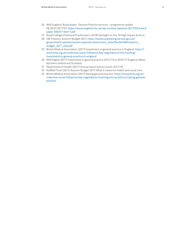- 26 NHS England. Board paper General Practice services programme update PB.30.07.2017/07. https://www.england.nhs.uk/wp-content/uploads/2017/03/boardpaper-300317-item-7.pdf
- 27 Royal College of General Practitioners (2018) Spotlight on the 10 High Impact Actions
- 28 HM Treasury. Autumn Budget 2017. https://assets.publishing.service.gov.uk/ government/uploads/system/uploads/attachment\_data/file/661480/autumn\_ budget\_2017\_web.pdf
- 29 British Medical Association (2017) Investment in general practice in England. https:// www.bma.org.uk/collective-voice/influence/key-negotiations/nhs-funding/ investment-in-general-practice-in-england
- 30 NHS Digital (2017) Investment in general practice 2012/13 to 2016/17 England, Wales, Northern Ireland and Scotland.
- 31 Department of Health (2017) Annual report and accounts 2017/18
- 32 Nuffield Trust (2017) Autumn Budget 2017: What it means for health and social care.
- 33 British Medical Association (2017) Saving general practice. https://www.bma.org.uk/ collective-voice/influence/key-negotiations/training-and-workforce/saving-generalpractice